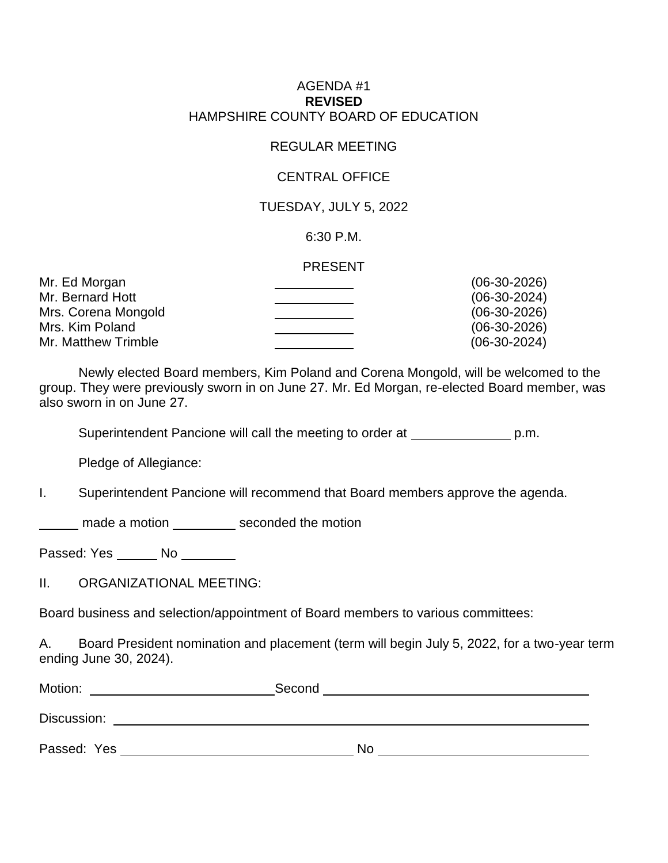## AGENDA #1 **REVISED** HAMPSHIRE COUNTY BOARD OF EDUCATION

# REGULAR MEETING

## CENTRAL OFFICE

# TUESDAY, JULY 5, 2022

## 6:30 P.M.

#### PRESENT

| $(06-30-2026)$ |
|----------------|
| $(06-30-2024)$ |
| $(06-30-2026)$ |
| $(06-30-2026)$ |
| $(06-30-2024)$ |
|                |

Newly elected Board members, Kim Poland and Corena Mongold, will be welcomed to the group. They were previously sworn in on June 27. Mr. Ed Morgan, re-elected Board member, was also sworn in on June 27.

Superintendent Pancione will call the meeting to order at produced p.m.

Pledge of Allegiance:

# I. Superintendent Pancione will recommend that Board members approve the agenda.

made a motion \_\_\_\_\_\_\_\_\_\_\_ seconded the motion

Passed: Yes No

II. ORGANIZATIONAL MEETING:

Board business and selection/appointment of Board members to various committees:

A. Board President nomination and placement (term will begin July 5, 2022, for a two-year term ending June 30, 2024).

| Motion:     | Second |    |
|-------------|--------|----|
| Discussion: |        |    |
| Passed: Yes |        | No |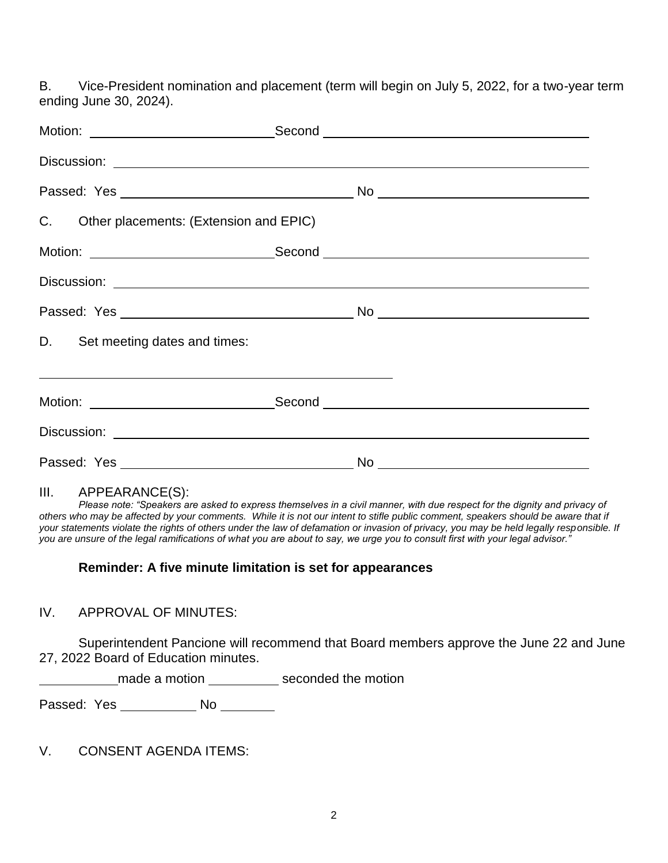B. Vice-President nomination and placement (term will begin on July 5, 2022, for a two-year term ending June 30, 2024).

| C. Other placements: (Extension and EPIC)                   |    |  |  |
|-------------------------------------------------------------|----|--|--|
|                                                             |    |  |  |
|                                                             |    |  |  |
|                                                             |    |  |  |
| D. Set meeting dates and times:                             |    |  |  |
| <u> 1999 - Johann Stoff, amerikansk politiker (d. 1989)</u> |    |  |  |
|                                                             |    |  |  |
|                                                             |    |  |  |
|                                                             | No |  |  |

#### III. APPEARANCE(S):

*Please note: "Speakers are asked to express themselves in a civil manner, with due respect for the dignity and privacy of others who may be affected by your comments. While it is not our intent to stifle public comment, speakers should be aware that if your statements violate the rights of others under the law of defamation or invasion of privacy, you may be held legally responsible. If you are unsure of the legal ramifications of what you are about to say, we urge you to consult first with your legal advisor."*

# **Reminder: A five minute limitation is set for appearances**

## IV. APPROVAL OF MINUTES:

Superintendent Pancione will recommend that Board members approve the June 22 and June 27, 2022 Board of Education minutes.

made a motion \_\_\_\_\_\_\_\_\_\_\_\_ seconded the motion

Passed: Yes \_\_\_\_\_\_\_\_\_\_\_\_\_\_\_ No \_\_\_\_\_\_\_\_\_

V. CONSENT AGENDA ITEMS: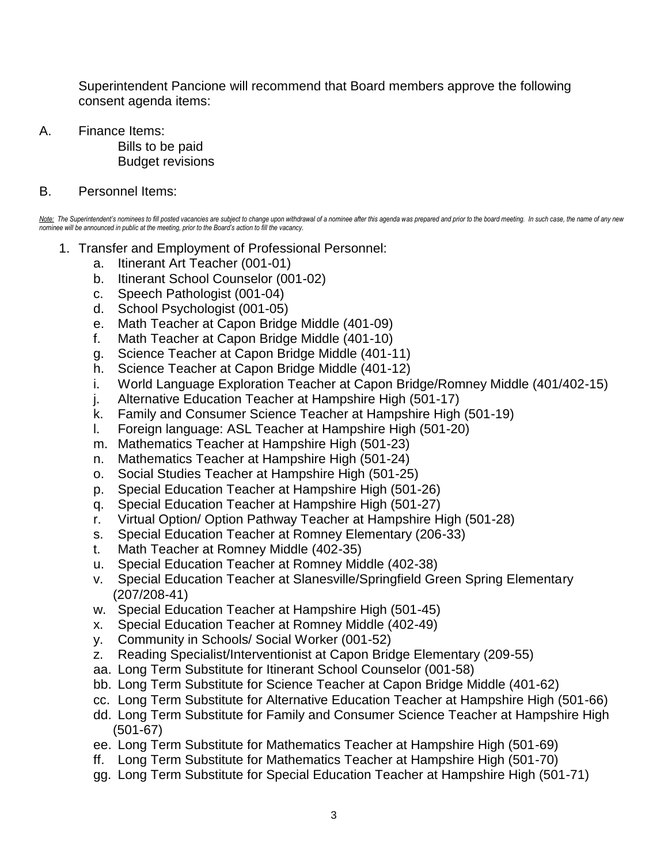Superintendent Pancione will recommend that Board members approve the following consent agenda items:

A. Finance Items:

Bills to be paid Budget revisions

B. Personnel Items:

Note: The Superintendent's nominees to fill posted vacancies are subject to change upon withdrawal of a nominee after this agenda was prepared and prior to the board meeting. In such case, the name of any new *nominee will be announced in public at the meeting, prior to the Board's action to fill the vacancy.*

- 1. Transfer and Employment of Professional Personnel:
	- a. Itinerant Art Teacher (001-01)
	- b. Itinerant School Counselor (001-02)
	- c. Speech Pathologist (001-04)
	- d. School Psychologist (001-05)
	- e. Math Teacher at Capon Bridge Middle (401-09)
	- f. Math Teacher at Capon Bridge Middle (401-10)
	- g. Science Teacher at Capon Bridge Middle (401-11)
	- h. Science Teacher at Capon Bridge Middle (401-12)
	- i. World Language Exploration Teacher at Capon Bridge/Romney Middle (401/402-15)
	- j. Alternative Education Teacher at Hampshire High (501-17)
	- k. Family and Consumer Science Teacher at Hampshire High (501-19)
	- l. Foreign language: ASL Teacher at Hampshire High (501-20)
	- m. Mathematics Teacher at Hampshire High (501-23)
	- n. Mathematics Teacher at Hampshire High (501-24)
	- o. Social Studies Teacher at Hampshire High (501-25)
	- p. Special Education Teacher at Hampshire High (501-26)
	- q. Special Education Teacher at Hampshire High (501-27)
	- r. Virtual Option/ Option Pathway Teacher at Hampshire High (501-28)
	- s. Special Education Teacher at Romney Elementary (206-33)
	- t. Math Teacher at Romney Middle (402-35)
	- u. Special Education Teacher at Romney Middle (402-38)
	- v. Special Education Teacher at Slanesville/Springfield Green Spring Elementary (207/208-41)
	- w. Special Education Teacher at Hampshire High (501-45)
	- x. Special Education Teacher at Romney Middle (402-49)
	- y. Community in Schools/ Social Worker (001-52)
	- z. Reading Specialist/Interventionist at Capon Bridge Elementary (209-55)
	- aa. Long Term Substitute for Itinerant School Counselor (001-58)
	- bb. Long Term Substitute for Science Teacher at Capon Bridge Middle (401-62)
	- cc. Long Term Substitute for Alternative Education Teacher at Hampshire High (501-66)
	- dd. Long Term Substitute for Family and Consumer Science Teacher at Hampshire High (501-67)
	- ee. Long Term Substitute for Mathematics Teacher at Hampshire High (501-69)
	- ff. Long Term Substitute for Mathematics Teacher at Hampshire High (501-70)
	- gg. Long Term Substitute for Special Education Teacher at Hampshire High (501-71)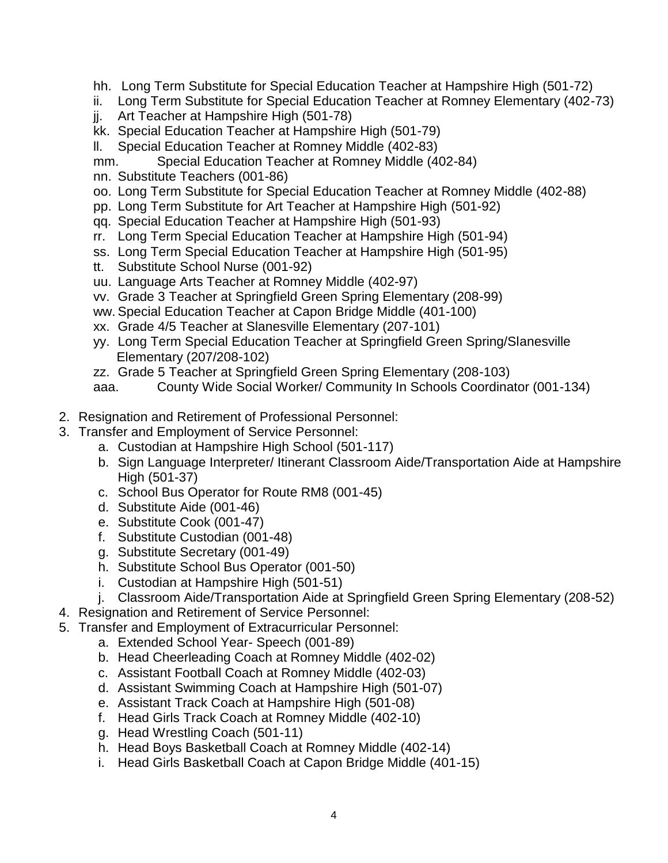- hh. Long Term Substitute for Special Education Teacher at Hampshire High (501-72)
- ii. Long Term Substitute for Special Education Teacher at Romney Elementary (402-73)
- jj. Art Teacher at Hampshire High (501-78)
- kk. Special Education Teacher at Hampshire High (501-79)
- ll. Special Education Teacher at Romney Middle (402-83)
- mm. Special Education Teacher at Romney Middle (402-84)
- nn. Substitute Teachers (001-86)
- oo. Long Term Substitute for Special Education Teacher at Romney Middle (402-88)
- pp. Long Term Substitute for Art Teacher at Hampshire High (501-92)
- qq. Special Education Teacher at Hampshire High (501-93)
- rr. Long Term Special Education Teacher at Hampshire High (501-94)
- ss. Long Term Special Education Teacher at Hampshire High (501-95)
- tt. Substitute School Nurse (001-92)
- uu. Language Arts Teacher at Romney Middle (402-97)
- vv. Grade 3 Teacher at Springfield Green Spring Elementary (208-99)
- ww. Special Education Teacher at Capon Bridge Middle (401-100)
- xx. Grade 4/5 Teacher at Slanesville Elementary (207-101)
- yy. Long Term Special Education Teacher at Springfield Green Spring/Slanesville Elementary (207/208-102)
- zz. Grade 5 Teacher at Springfield Green Spring Elementary (208-103)
- aaa. County Wide Social Worker/ Community In Schools Coordinator (001-134)
- 2. Resignation and Retirement of Professional Personnel:
- 3. Transfer and Employment of Service Personnel:
	- a. Custodian at Hampshire High School (501-117)
	- b. Sign Language Interpreter/ Itinerant Classroom Aide/Transportation Aide at Hampshire High (501-37)
	- c. School Bus Operator for Route RM8 (001-45)
	- d. Substitute Aide (001-46)
	- e. Substitute Cook (001-47)
	- f. Substitute Custodian (001-48)
	- g. Substitute Secretary (001-49)
	- h. Substitute School Bus Operator (001-50)
	- i. Custodian at Hampshire High (501-51)
	- j. Classroom Aide/Transportation Aide at Springfield Green Spring Elementary (208-52)
- 4. Resignation and Retirement of Service Personnel:
- 5. Transfer and Employment of Extracurricular Personnel:
	- a. Extended School Year- Speech (001-89)
	- b. Head Cheerleading Coach at Romney Middle (402-02)
	- c. Assistant Football Coach at Romney Middle (402-03)
	- d. Assistant Swimming Coach at Hampshire High (501-07)
	- e. Assistant Track Coach at Hampshire High (501-08)
	- f. Head Girls Track Coach at Romney Middle (402-10)
	- g. Head Wrestling Coach (501-11)
	- h. Head Boys Basketball Coach at Romney Middle (402-14)
	- i. Head Girls Basketball Coach at Capon Bridge Middle (401-15)